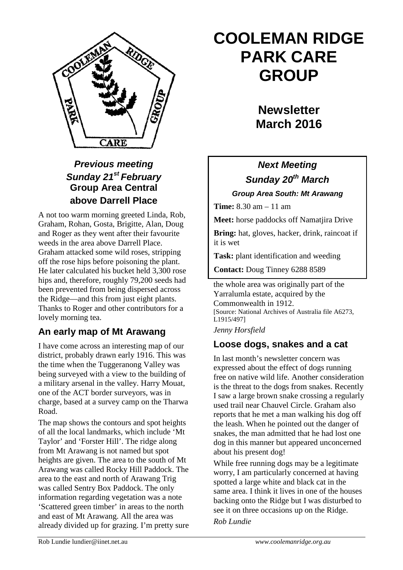

## *Previous meeting Sunday 21st February* **Group Area Central above Darrell Place**

A not too warm morning greeted Linda, Rob, Graham, Rohan, Gosta, Brigitte, Alan, Doug and Roger as they went after their favourite weeds in the area above Darrell Place. Graham attacked some wild roses, stripping off the rose hips before poisoning the plant. He later calculated his bucket held 3,300 rose hips and, therefore, roughly 79,200 seeds had been prevented from being dispersed across the Ridge—and this from just eight plants. Thanks to Roger and other contributors for a lovely morning tea.

## **An early map of Mt Arawang**

I have come across an interesting map of our district, probably drawn early 1916. This was the time when the Tuggeranong Valley was being surveyed with a view to the building of a military arsenal in the valley. Harry Mouat, one of the ACT border surveyors, was in charge, based at a survey camp on the Tharwa Road.

The map shows the contours and spot heights of all the local landmarks, which include 'Mt Taylor' and 'Forster Hill'. The ridge along from Mt Arawang is not named but spot heights are given. The area to the south of Mt Arawang was called Rocky Hill Paddock. The area to the east and north of Arawang Trig was called Sentry Box Paddock. The only information regarding vegetation was a note 'Scattered green timber' in areas to the north and east of Mt Arawang. All the area was already divided up for grazing. I'm pretty sure

# **COOLEMAN RIDGE PARK CARE GROUP**

## **Newsletter March 2016**

## *Next Meeting Sunday 20th March Group Area South: Mt Arawang*

**Time:** 8.30 am – 11 am

**Meet:** horse paddocks off Namatjira Drive

**Bring:** hat, gloves, hacker, drink, raincoat if it is wet

**Task:** plant identification and weeding

**Contact:** Doug Tinney 6288 8589

the whole area was originally part of the Yarralumla estate, acquired by the Commonwealth in 1912. [Source: National Archives of Australia file A6273, L1915/497]

*Jenny Horsfield*

## **Loose dogs, snakes and a cat**

In last month's newsletter concern was expressed about the effect of dogs running free on native wild life. Another consideration is the threat to the dogs from snakes. Recently I saw a large brown snake crossing a regularly used trail near Chauvel Circle. Graham also reports that he met a man walking his dog off the leash. When he pointed out the danger of snakes, the man admitted that he had lost one dog in this manner but appeared unconcerned about his present dog!

While free running dogs may be a legitimate worry, I am particularly concerned at having spotted a large white and black cat in the same area. I think it lives in one of the houses backing onto the Ridge but I was disturbed to see it on three occasions up on the Ridge. *Rob Lundie*